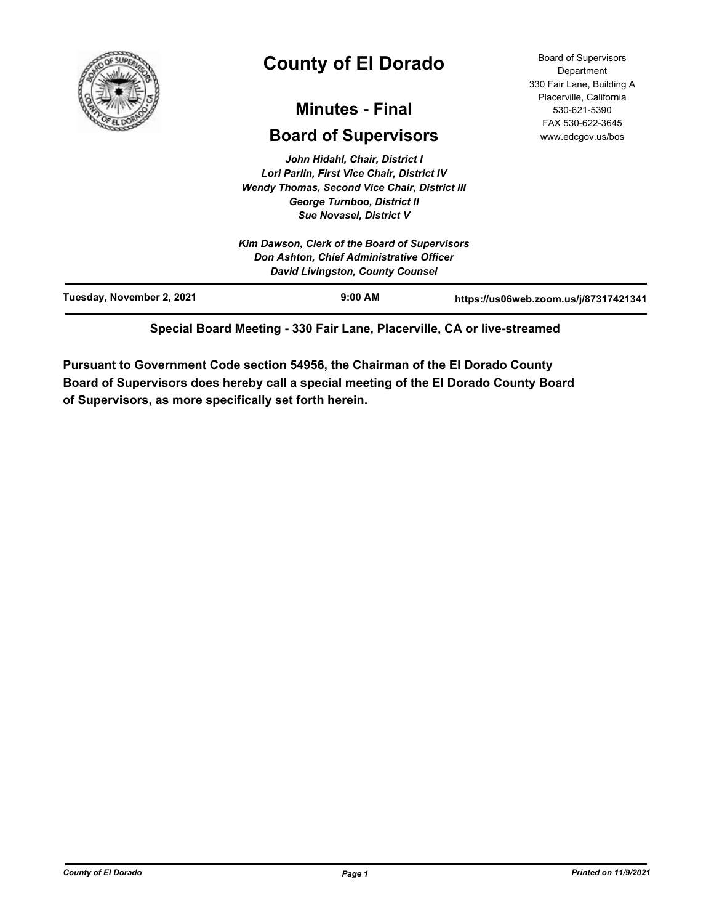

# **County of El Dorado**

## **Minutes - Final**

## **Board of Supervisors**

*John Hidahl, Chair, District I Lori Parlin, First Vice Chair, District IV Wendy Thomas, Second Vice Chair, District III George Turnboo, District II Sue Novasel, District V*

Board of Supervisors **Department** 330 Fair Lane, Building A Placerville, California 530-621-5390 FAX 530-622-3645 www.edcgov.us/bos

|                           | <b>Sue Novasel, District V</b>                |                                       |
|---------------------------|-----------------------------------------------|---------------------------------------|
|                           | Kim Dawson, Clerk of the Board of Supervisors |                                       |
|                           | Don Ashton, Chief Administrative Officer      |                                       |
|                           | David Livingston, County Counsel              |                                       |
| Tuesday, November 2, 2021 | $9:00$ AM                                     | https://us06web.zoom.us/j/87317421341 |

**Special Board Meeting - 330 Fair Lane, Placerville, CA or live-streamed**

**Pursuant to Government Code section 54956, the Chairman of the El Dorado County Board of Supervisors does hereby call a special meeting of the El Dorado County Board of Supervisors, as more specifically set forth herein.**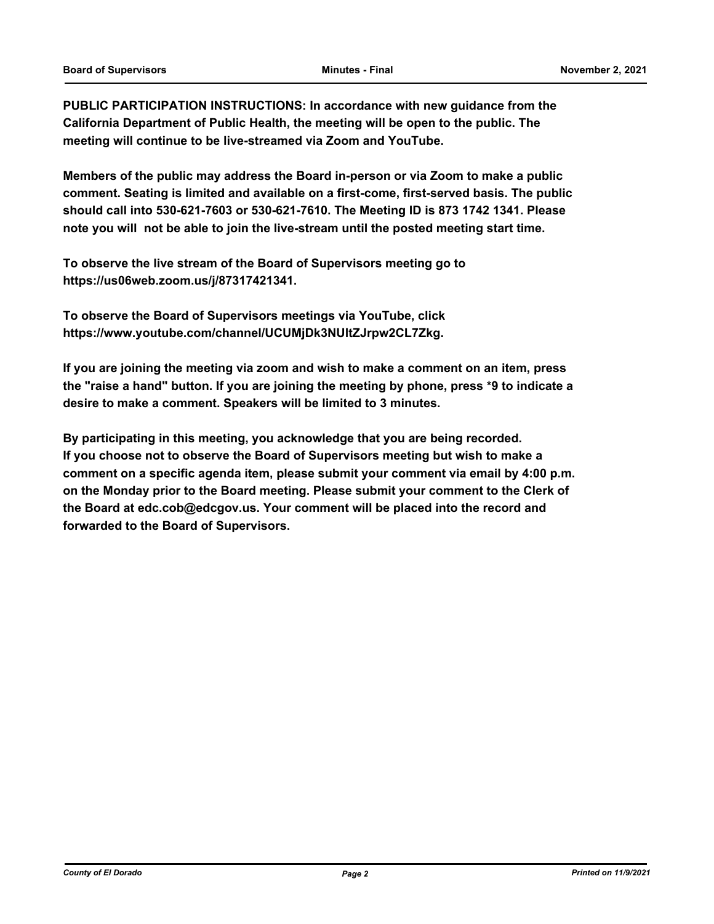**PUBLIC PARTICIPATION INSTRUCTIONS: In accordance with new guidance from the California Department of Public Health, the meeting will be open to the public. The meeting will continue to be live-streamed via Zoom and YouTube.**

**Members of the public may address the Board in-person or via Zoom to make a public comment. Seating is limited and available on a first-come, first-served basis. The public should call into 530-621-7603 or 530-621-7610. The Meeting ID is 873 1742 1341. Please note you will not be able to join the live-stream until the posted meeting start time.**

**To observe the live stream of the Board of Supervisors meeting go to https://us06web.zoom.us/j/87317421341.**

**To observe the Board of Supervisors meetings via YouTube, click https://www.youtube.com/channel/UCUMjDk3NUltZJrpw2CL7Zkg.**

**If you are joining the meeting via zoom and wish to make a comment on an item, press the "raise a hand" button. If you are joining the meeting by phone, press \*9 to indicate a desire to make a comment. Speakers will be limited to 3 minutes.**

**By participating in this meeting, you acknowledge that you are being recorded. If you choose not to observe the Board of Supervisors meeting but wish to make a comment on a specific agenda item, please submit your comment via email by 4:00 p.m. on the Monday prior to the Board meeting. Please submit your comment to the Clerk of the Board at edc.cob@edcgov.us. Your comment will be placed into the record and forwarded to the Board of Supervisors.**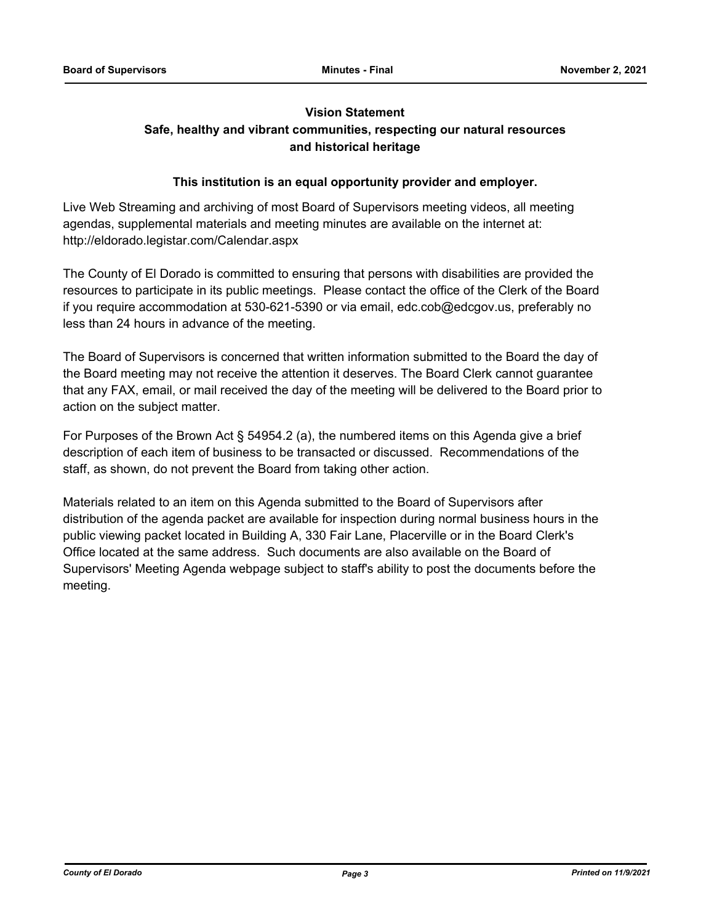#### **Vision Statement**

## **Safe, healthy and vibrant communities, respecting our natural resources and historical heritage**

#### **This institution is an equal opportunity provider and employer.**

Live Web Streaming and archiving of most Board of Supervisors meeting videos, all meeting agendas, supplemental materials and meeting minutes are available on the internet at: http://eldorado.legistar.com/Calendar.aspx

The County of El Dorado is committed to ensuring that persons with disabilities are provided the resources to participate in its public meetings. Please contact the office of the Clerk of the Board if you require accommodation at 530-621-5390 or via email, edc.cob@edcgov.us, preferably no less than 24 hours in advance of the meeting.

The Board of Supervisors is concerned that written information submitted to the Board the day of the Board meeting may not receive the attention it deserves. The Board Clerk cannot guarantee that any FAX, email, or mail received the day of the meeting will be delivered to the Board prior to action on the subject matter.

For Purposes of the Brown Act § 54954.2 (a), the numbered items on this Agenda give a brief description of each item of business to be transacted or discussed. Recommendations of the staff, as shown, do not prevent the Board from taking other action.

Materials related to an item on this Agenda submitted to the Board of Supervisors after distribution of the agenda packet are available for inspection during normal business hours in the public viewing packet located in Building A, 330 Fair Lane, Placerville or in the Board Clerk's Office located at the same address. Such documents are also available on the Board of Supervisors' Meeting Agenda webpage subject to staff's ability to post the documents before the meeting.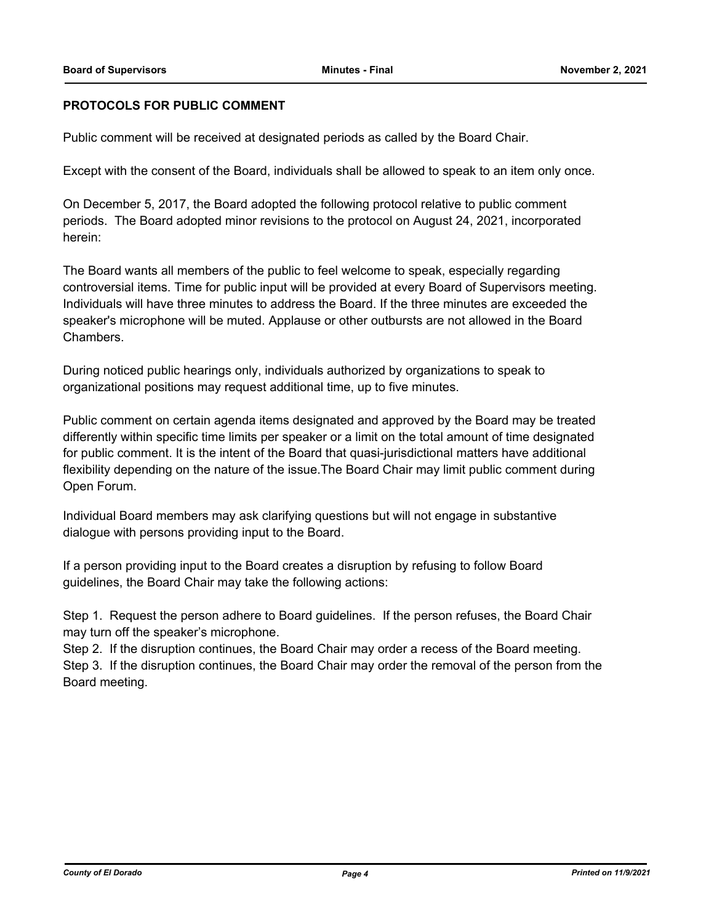## **PROTOCOLS FOR PUBLIC COMMENT**

Public comment will be received at designated periods as called by the Board Chair.

Except with the consent of the Board, individuals shall be allowed to speak to an item only once.

On December 5, 2017, the Board adopted the following protocol relative to public comment periods. The Board adopted minor revisions to the protocol on August 24, 2021, incorporated herein:

The Board wants all members of the public to feel welcome to speak, especially regarding controversial items. Time for public input will be provided at every Board of Supervisors meeting. Individuals will have three minutes to address the Board. If the three minutes are exceeded the speaker's microphone will be muted. Applause or other outbursts are not allowed in the Board Chambers.

During noticed public hearings only, individuals authorized by organizations to speak to organizational positions may request additional time, up to five minutes.

Public comment on certain agenda items designated and approved by the Board may be treated differently within specific time limits per speaker or a limit on the total amount of time designated for public comment. It is the intent of the Board that quasi-jurisdictional matters have additional flexibility depending on the nature of the issue.The Board Chair may limit public comment during Open Forum.

Individual Board members may ask clarifying questions but will not engage in substantive dialogue with persons providing input to the Board.

If a person providing input to the Board creates a disruption by refusing to follow Board guidelines, the Board Chair may take the following actions:

Step 1. Request the person adhere to Board guidelines. If the person refuses, the Board Chair may turn off the speaker's microphone.

Step 2. If the disruption continues, the Board Chair may order a recess of the Board meeting. Step 3. If the disruption continues, the Board Chair may order the removal of the person from the Board meeting.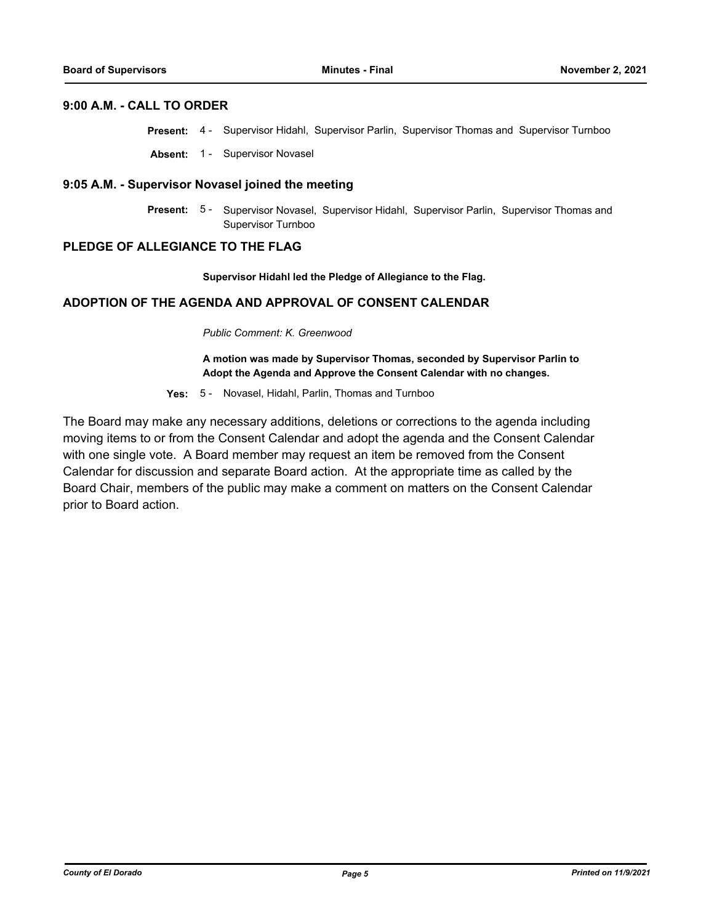#### **9:00 A.M. - CALL TO ORDER**

- **Present:** 4 Supervisor Hidahl, Supervisor Parlin, Supervisor Thomas and Supervisor Turnboo
- **Absent:** 1 Supervisor Novasel

#### **9:05 A.M. - Supervisor Novasel joined the meeting**

Present: 5 - Supervisor Novasel, Supervisor Hidahl, Supervisor Parlin, Supervisor Thomas and Supervisor Turnboo

#### **PLEDGE OF ALLEGIANCE TO THE FLAG**

**Supervisor Hidahl led the Pledge of Allegiance to the Flag.**

#### **ADOPTION OF THE AGENDA AND APPROVAL OF CONSENT CALENDAR**

*Public Comment: K. Greenwood*

**A motion was made by Supervisor Thomas, seconded by Supervisor Parlin to Adopt the Agenda and Approve the Consent Calendar with no changes.**

**Yes:** 5 - Novasel, Hidahl, Parlin, Thomas and Turnboo

The Board may make any necessary additions, deletions or corrections to the agenda including moving items to or from the Consent Calendar and adopt the agenda and the Consent Calendar with one single vote. A Board member may request an item be removed from the Consent Calendar for discussion and separate Board action. At the appropriate time as called by the Board Chair, members of the public may make a comment on matters on the Consent Calendar prior to Board action.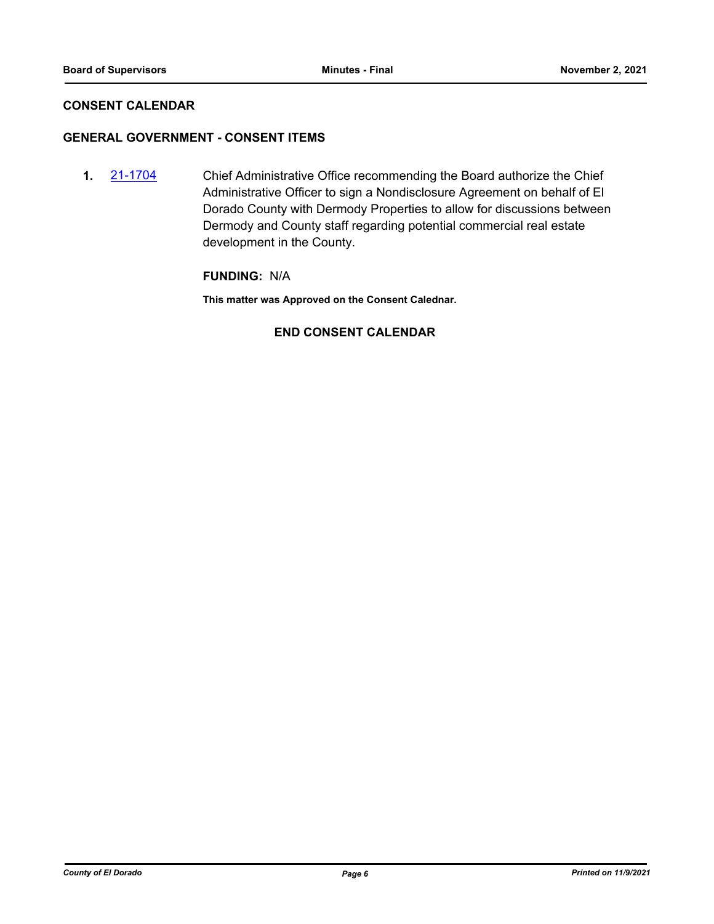## **CONSENT CALENDAR**

## **GENERAL GOVERNMENT - CONSENT ITEMS**

**1.** [21-1704](http://eldorado.legistar.com/gateway.aspx?m=l&id=/matter.aspx?key=30599) Chief Administrative Office recommending the Board authorize the Chief Administrative Officer to sign a Nondisclosure Agreement on behalf of El Dorado County with Dermody Properties to allow for discussions between Dermody and County staff regarding potential commercial real estate development in the County.

## **FUNDING:** N/A

**This matter was Approved on the Consent Calednar.**

## **END CONSENT CALENDAR**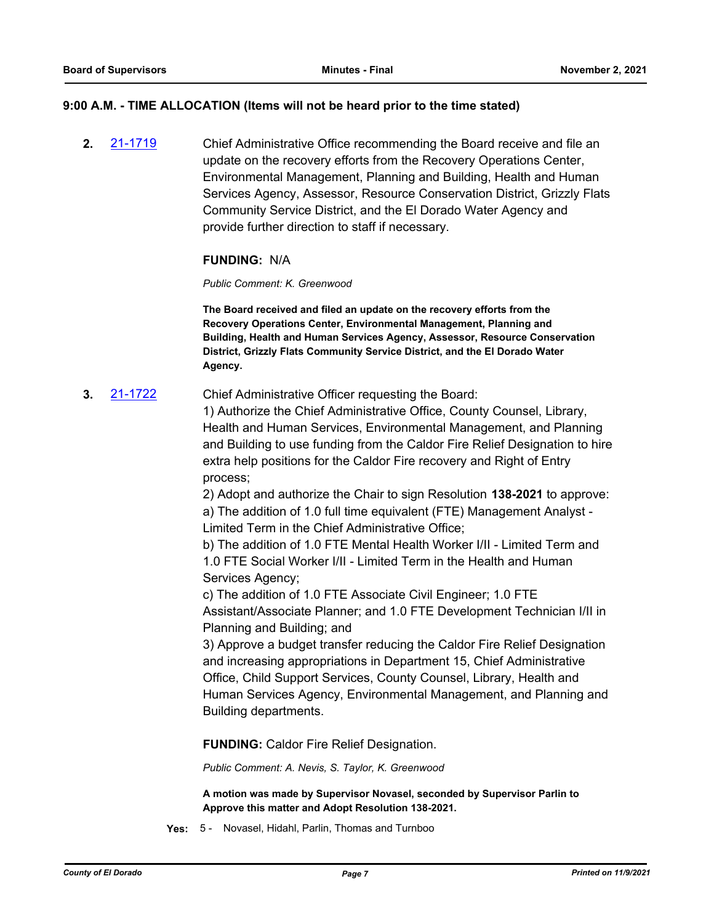#### **9:00 A.M. - TIME ALLOCATION (Items will not be heard prior to the time stated)**

**2.** [21-1719](http://eldorado.legistar.com/gateway.aspx?m=l&id=/matter.aspx?key=30614) Chief Administrative Office recommending the Board receive and file an update on the recovery efforts from the Recovery Operations Center, Environmental Management, Planning and Building, Health and Human Services Agency, Assessor, Resource Conservation District, Grizzly Flats Community Service District, and the El Dorado Water Agency and provide further direction to staff if necessary.

## **FUNDING:** N/A

*Public Comment: K. Greenwood*

**The Board received and filed an update on the recovery efforts from the Recovery Operations Center, Environmental Management, Planning and Building, Health and Human Services Agency, Assessor, Resource Conservation District, Grizzly Flats Community Service District, and the El Dorado Water Agency.**

**3.** [21-1722](http://eldorado.legistar.com/gateway.aspx?m=l&id=/matter.aspx?key=30617) Chief Administrative Officer requesting the Board:

1) Authorize the Chief Administrative Office, County Counsel, Library, Health and Human Services, Environmental Management, and Planning and Building to use funding from the Caldor Fire Relief Designation to hire extra help positions for the Caldor Fire recovery and Right of Entry process;

2) Adopt and authorize the Chair to sign Resolution **138-2021** to approve: a) The addition of 1.0 full time equivalent (FTE) Management Analyst - Limited Term in the Chief Administrative Office;

b) The addition of 1.0 FTE Mental Health Worker I/II - Limited Term and 1.0 FTE Social Worker I/II - Limited Term in the Health and Human Services Agency;

c) The addition of 1.0 FTE Associate Civil Engineer; 1.0 FTE Assistant/Associate Planner; and 1.0 FTE Development Technician I/II in Planning and Building; and

3) Approve a budget transfer reducing the Caldor Fire Relief Designation and increasing appropriations in Department 15, Chief Administrative Office, Child Support Services, County Counsel, Library, Health and Human Services Agency, Environmental Management, and Planning and Building departments.

**FUNDING:** Caldor Fire Relief Designation.

*Public Comment: A. Nevis, S. Taylor, K. Greenwood*

**A motion was made by Supervisor Novasel, seconded by Supervisor Parlin to Approve this matter and Adopt Resolution 138-2021.**

**Yes:** 5 - Novasel, Hidahl, Parlin, Thomas and Turnboo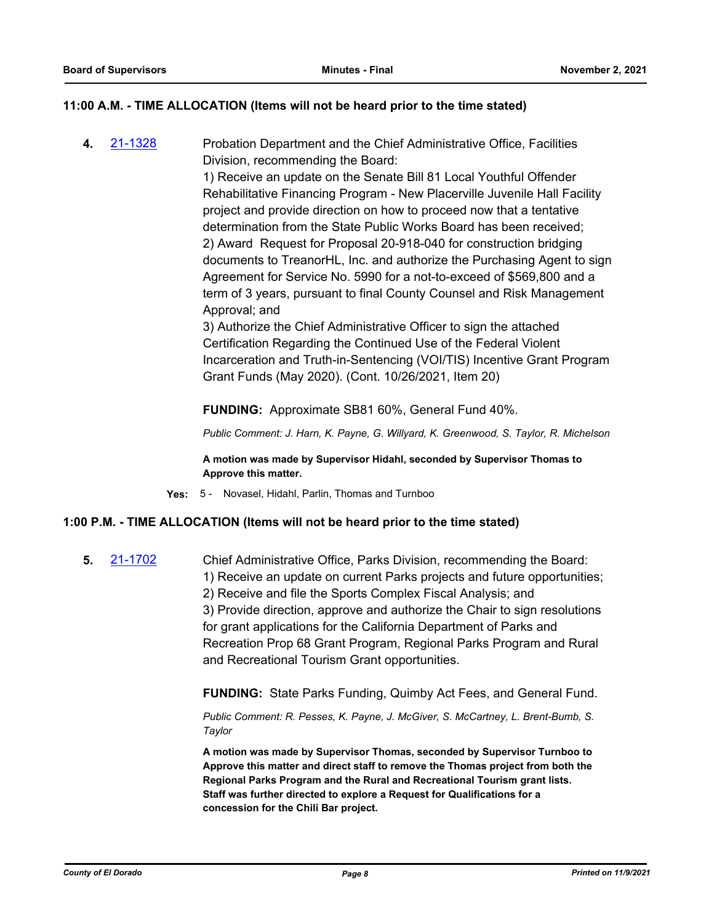## **11:00 A.M. - TIME ALLOCATION (Items will not be heard prior to the time stated)**

**4.** [21-1328](http://eldorado.legistar.com/gateway.aspx?m=l&id=/matter.aspx?key=30223) Probation Department and the Chief Administrative Office, Facilities Division, recommending the Board:

> 1) Receive an update on the Senate Bill 81 Local Youthful Offender Rehabilitative Financing Program - New Placerville Juvenile Hall Facility project and provide direction on how to proceed now that a tentative determination from the State Public Works Board has been received; 2) Award Request for Proposal 20-918-040 for construction bridging documents to TreanorHL, Inc. and authorize the Purchasing Agent to sign Agreement for Service No. 5990 for a not-to-exceed of \$569,800 and a term of 3 years, pursuant to final County Counsel and Risk Management Approval; and

> 3) Authorize the Chief Administrative Officer to sign the attached Certification Regarding the Continued Use of the Federal Violent Incarceration and Truth-in-Sentencing (VOI/TIS) Incentive Grant Program Grant Funds (May 2020). (Cont. 10/26/2021, Item 20)

**FUNDING:** Approximate SB81 60%, General Fund 40%.

*Public Comment: J. Harn, K. Payne, G. Willyard, K. Greenwood, S. Taylor, R. Michelson*

**A motion was made by Supervisor Hidahl, seconded by Supervisor Thomas to Approve this matter.**

**Yes:** 5 - Novasel, Hidahl, Parlin, Thomas and Turnboo

#### **1:00 P.M. - TIME ALLOCATION (Items will not be heard prior to the time stated)**

**5.** [21-1702](http://eldorado.legistar.com/gateway.aspx?m=l&id=/matter.aspx?key=30597) Chief Administrative Office, Parks Division, recommending the Board:

1) Receive an update on current Parks projects and future opportunities;

2) Receive and file the Sports Complex Fiscal Analysis; and

3) Provide direction, approve and authorize the Chair to sign resolutions for grant applications for the California Department of Parks and Recreation Prop 68 Grant Program, Regional Parks Program and Rural and Recreational Tourism Grant opportunities.

**FUNDING:** State Parks Funding, Quimby Act Fees, and General Fund.

*Public Comment: R. Pesses, K. Payne, J. McGiver, S. McCartney, L. Brent-Bumb, S. Taylor*

**A motion was made by Supervisor Thomas, seconded by Supervisor Turnboo to Approve this matter and direct staff to remove the Thomas project from both the Regional Parks Program and the Rural and Recreational Tourism grant lists. Staff was further directed to explore a Request for Qualifications for a concession for the Chili Bar project.**